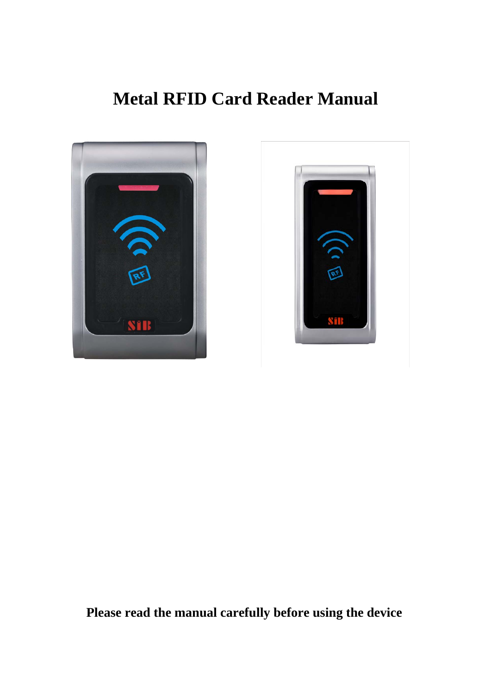# **Metal RFID Card Reader Manual**





**Please read the manual carefully before using the device**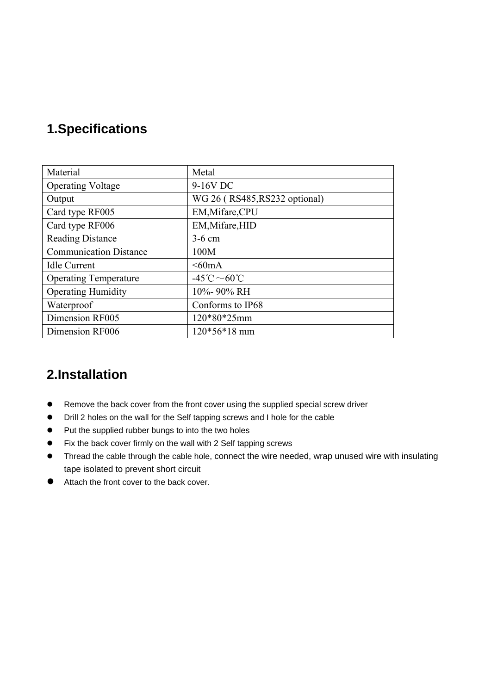### **1.Specifications**

| Material                      | Metal                                         |  |  |
|-------------------------------|-----------------------------------------------|--|--|
| <b>Operating Voltage</b>      | 9-16V DC                                      |  |  |
| Output                        | WG 26 (RS485, RS232 optional)                 |  |  |
| Card type RF005               | EM, Mifare, CPU                               |  |  |
| Card type RF006               | EM, Mifare, HID                               |  |  |
| <b>Reading Distance</b>       | $3-6$ cm                                      |  |  |
| <b>Communication Distance</b> | 100M                                          |  |  |
| <b>Idle Current</b>           | $<60 \text{mA}$                               |  |  |
| <b>Operating Temperature</b>  | $-45^{\circ}\text{C} \sim 60^{\circ}\text{C}$ |  |  |
| <b>Operating Humidity</b>     | 10%-90% RH                                    |  |  |
| Waterproof                    | Conforms to IP68                              |  |  |
| Dimension RF005               | 120*80*25mm                                   |  |  |
| Dimension RF006               | $120*56*18$ mm                                |  |  |

### **2.Installation**

- Remove the back cover from the front cover using the supplied special screw driver
- Drill 2 holes on the wall for the Self tapping screws and I hole for the cable
- Put the supplied rubber bungs to into the two holes
- Fix the back cover firmly on the wall with 2 Self tapping screws
- Thread the cable through the cable hole, connect the wire needed, wrap unused wire with insulating tape isolated to prevent short circuit
- Attach the front cover to the back cover.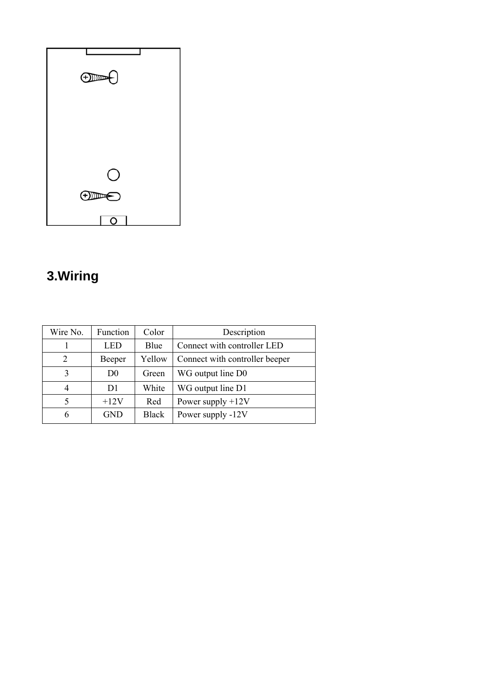| $\bigoplus\limits_{\mathcal{P}}$ |
|----------------------------------|
|                                  |
|                                  |
|                                  |
|                                  |
| $\overline{O}$                   |
|                                  |
| O                                |

# **3.Wiring**

| Wire No.       | Function | Color        | Description                    |
|----------------|----------|--------------|--------------------------------|
|                | LED      | Blue         | Connect with controller LED    |
| 2              | Beeper   | Yellow       | Connect with controller beeper |
| 3              | D0       | Green        | WG output line D0              |
| $\overline{4}$ | D1       | White        | WG output line D1              |
| 5              | $+12V$   | Red          | Power supply $+12V$            |
| 6              | GND      | <b>Black</b> | Power supply -12V              |